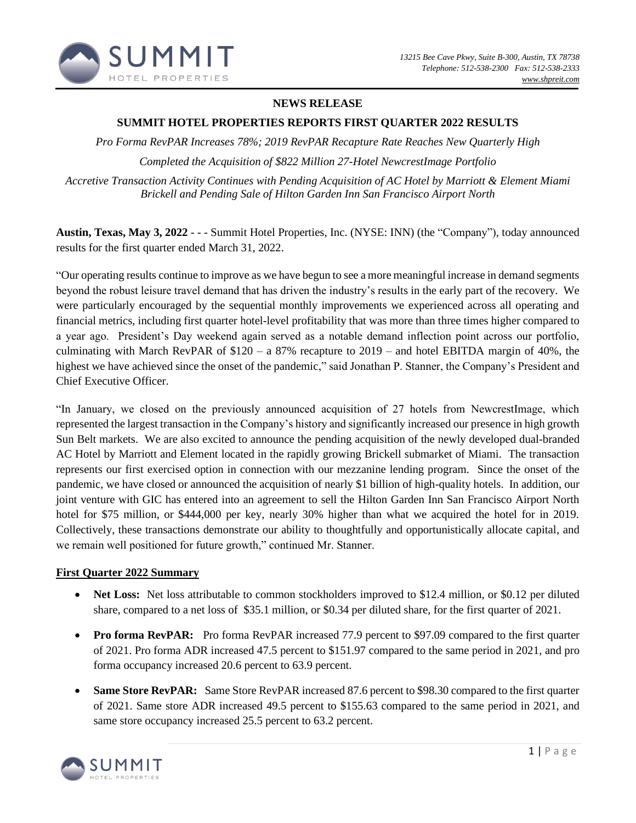

## **NEWS RELEASE**

### **SUMMIT HOTEL PROPERTIES REPORTS FIRST QUARTER 2022 RESULTS**

*Pro Forma RevPAR Increases 78%; 2019 RevPAR Recapture Rate Reaches New Quarterly High*

*Completed the Acquisition of \$822 Million 27-Hotel NewcrestImage Portfolio*

*Accretive Transaction Activity Continues with Pending Acquisition of AC Hotel by Marriott & Element Miami Brickell and Pending Sale of Hilton Garden Inn San Francisco Airport North*

**Austin, Texas, May 3, 2022** - - - Summit Hotel Properties, Inc. (NYSE: INN) (the "Company"), today announced results for the first quarter ended March 31, 2022.

"Our operating results continue to improve as we have begun to see a more meaningful increase in demand segments beyond the robust leisure travel demand that has driven the industry's results in the early part of the recovery. We were particularly encouraged by the sequential monthly improvements we experienced across all operating and financial metrics, including first quarter hotel-level profitability that was more than three times higher compared to a year ago. President's Day weekend again served as a notable demand inflection point across our portfolio, culminating with March RevPAR of  $$120 - a 87\%$  recapture to  $2019 -$  and hotel EBITDA margin of 40%, the highest we have achieved since the onset of the pandemic," said Jonathan P. Stanner, the Company's President and Chief Executive Officer.

"In January, we closed on the previously announced acquisition of 27 hotels from NewcrestImage, which represented the largest transaction in the Company's history and significantly increased our presence in high growth Sun Belt markets. We are also excited to announce the pending acquisition of the newly developed dual-branded AC Hotel by Marriott and Element located in the rapidly growing Brickell submarket of Miami. The transaction represents our first exercised option in connection with our mezzanine lending program. Since the onset of the pandemic, we have closed or announced the acquisition of nearly \$1 billion of high-quality hotels. In addition, our joint venture with GIC has entered into an agreement to sell the Hilton Garden Inn San Francisco Airport North hotel for \$75 million, or \$444,000 per key, nearly 30% higher than what we acquired the hotel for in 2019. Collectively, these transactions demonstrate our ability to thoughtfully and opportunistically allocate capital, and we remain well positioned for future growth," continued Mr. Stanner.

### **First Quarter 2022 Summary**

- **Net Loss:** Net loss attributable to common stockholders improved to \$12.4 million, or \$0.12 per diluted share, compared to a net loss of \$35.1 million, or \$0.34 per diluted share, for the first quarter of 2021.
- **Pro forma RevPAR:** Pro forma RevPAR increased 77.9 percent to \$97.09 compared to the first quarter of 2021. Pro forma ADR increased 47.5 percent to \$151.97 compared to the same period in 2021, and pro forma occupancy increased 20.6 percent to 63.9 percent.
- **Same Store RevPAR:** Same Store RevPAR increased 87.6 percent to \$98.30 compared to the first quarter of 2021. Same store ADR increased 49.5 percent to \$155.63 compared to the same period in 2021, and same store occupancy increased 25.5 percent to 63.2 percent.

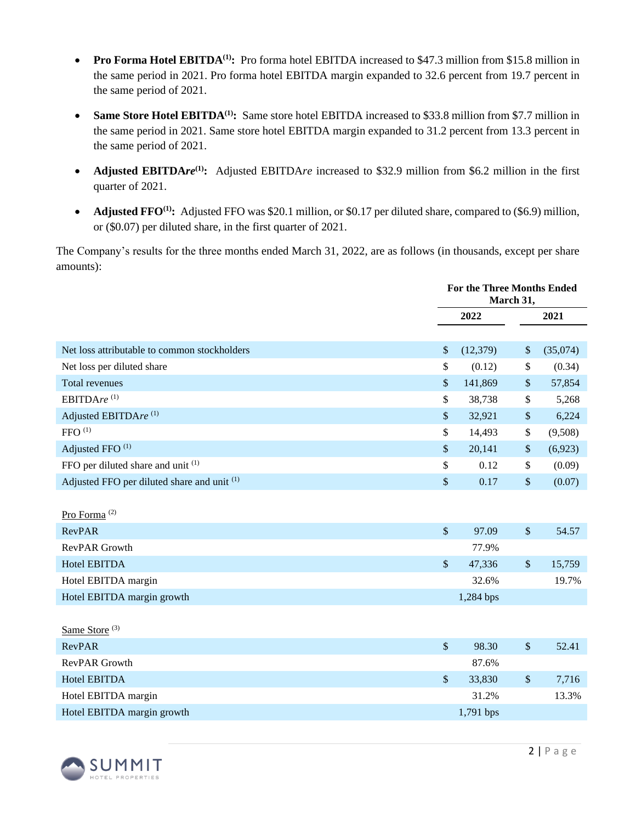- **Pro Forma Hotel EBITDA<sup>(1)</sup>:** Pro forma hotel EBITDA increased to \$47.3 million from \$15.8 million in the same period in 2021. Pro forma hotel EBITDA margin expanded to 32.6 percent from 19.7 percent in the same period of 2021.
- **Same Store Hotel EBITDA<sup>(1)</sup>:** Same store hotel EBITDA increased to \$33.8 million from \$7.7 million in the same period in 2021. Same store hotel EBITDA margin expanded to 31.2 percent from 13.3 percent in the same period of 2021.
- **Adjusted EBITDA***re*<sup>(1)</sup>: Adjusted EBITDA*re* increased to \$32.9 million from \$6.2 million in the first quarter of 2021.
- **Adjusted FFO<sup>(1)</sup>:** Adjusted FFO was \$20.1 million, or \$0.17 per diluted share, compared to (\$6.9) million, or (\$0.07) per diluted share, in the first quarter of 2021.

The Company's results for the three months ended March 31, 2022, are as follows (in thousands, except per share amounts):

|                                              | <b>For the Three Months Ended</b><br>March 31, |             |        |          |  |
|----------------------------------------------|------------------------------------------------|-------------|--------|----------|--|
|                                              |                                                | 2022        |        | 2021     |  |
|                                              |                                                |             |        |          |  |
| Net loss attributable to common stockholders | \$                                             | (12,379)    | \$     | (35,074) |  |
| Net loss per diluted share                   | \$                                             | (0.12)      | \$     | (0.34)   |  |
| <b>Total revenues</b>                        | $\$\,$                                         | 141,869     | \$     | 57,854   |  |
| EBITDAre <sup>(1)</sup>                      | \$                                             | 38,738      | \$     | 5,268    |  |
| Adjusted EBITDAre <sup>(1)</sup>             | \$                                             | 32,921      | \$     | 6,224    |  |
| ${\rm FFO}$ $^{\rm (1)}$                     | \$                                             | 14,493      | \$     | (9,508)  |  |
| Adjusted FFO <sup>(1)</sup>                  | $\sqrt{\ }$                                    | 20,141      | \$     | (6,923)  |  |
| FFO per diluted share and unit (1)           | \$                                             | 0.12        | \$     | (0.09)   |  |
| Adjusted FFO per diluted share and unit (1)  | $\$\,$                                         | 0.17        | \$     | (0.07)   |  |
|                                              |                                                |             |        |          |  |
| Pro Forma <sup>(2)</sup>                     |                                                |             |        |          |  |
| <b>RevPAR</b>                                | $\mathcal{S}$                                  | 97.09       | $\$\$  | 54.57    |  |
| <b>RevPAR Growth</b>                         |                                                | 77.9%       |        |          |  |
| Hotel EBITDA                                 | $\sqrt{\ }$                                    | 47,336      | $\$$   | 15,759   |  |
| Hotel EBITDA margin                          |                                                | 32.6%       |        | 19.7%    |  |
| Hotel EBITDA margin growth                   |                                                | 1,284 bps   |        |          |  |
|                                              |                                                |             |        |          |  |
| Same Store <sup>(3)</sup>                    |                                                |             |        |          |  |
| <b>RevPAR</b>                                | $\sqrt{\ }$                                    | 98.30       | $\$\,$ | 52.41    |  |
| RevPAR Growth                                |                                                | 87.6%       |        |          |  |
| <b>Hotel EBITDA</b>                          | $\mathcal{S}$                                  | 33,830      | \$     | 7,716    |  |
| Hotel EBITDA margin                          |                                                | 31.2%       |        | 13.3%    |  |
| Hotel EBITDA margin growth                   |                                                | $1,791$ bps |        |          |  |

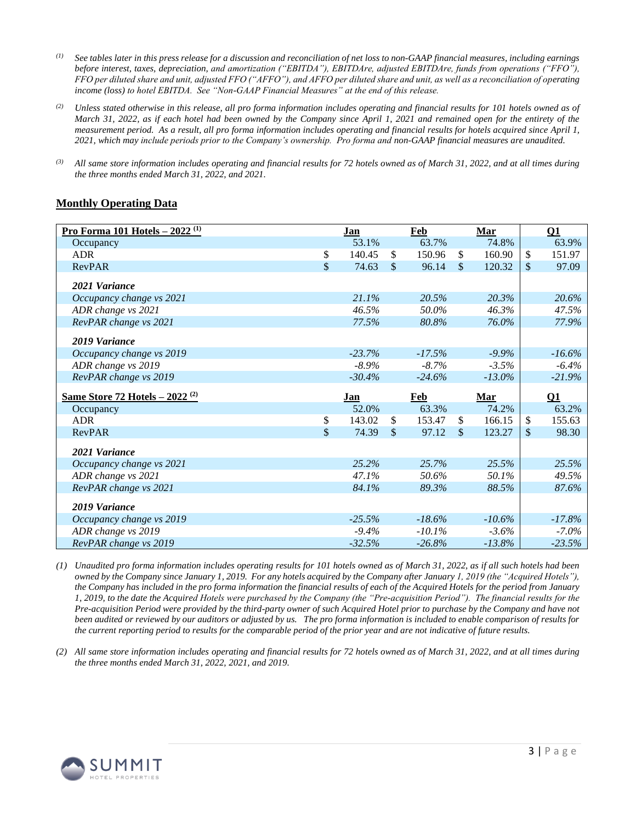- *(1) See tables later in this press release for a discussion and reconciliation of net loss to non-GAAP financial measures, including earnings before interest, taxes, depreciation, and amortization ("EBITDA"), EBITDAre, adjusted EBITDAre, funds from operations ("FFO"), FFO per diluted share and unit, adjusted FFO ("AFFO"), and AFFO per diluted share and unit, as well as a reconciliation of operating income (loss) to hotel EBITDA. See "Non-GAAP Financial Measures" at the end of this release.*
- *(2) Unless stated otherwise in this release, all pro forma information includes operating and financial results for 101 hotels owned as of March 31, 2022, as if each hotel had been owned by the Company since April 1, 2021 and remained open for the entirety of the measurement period. As a result, all pro forma information includes operating and financial results for hotels acquired since April 1, 2021, which may include periods prior to the Company's ownership. Pro forma and non-GAAP financial measures are unaudited.*
- *(3) All same store information includes operating and financial results for 72 hotels owned as of March 31, 2022, and at all times during the three months ended March 31, 2022, and 2021.*

### **Monthly Operating Data**

| <u>Pro Forma 101 Hotels - 2022 (1)</u>      | Jan          |              | Feb       |              | Mar       | $\Omega$ 1   |
|---------------------------------------------|--------------|--------------|-----------|--------------|-----------|--------------|
| Occupancy                                   | 53.1%        |              | 63.7%     |              | 74.8%     | 63.9%        |
| <b>ADR</b>                                  | \$<br>140.45 | \$.          | 150.96    | \$           | 160.90    | \$<br>151.97 |
| <b>RevPAR</b>                               | \$<br>74.63  | $\sqrt{3}$   | 96.14     | $\mathbb{S}$ | 120.32    | \$<br>97.09  |
| 2021 Variance                               |              |              |           |              |           |              |
| Occupancy change vs 2021                    | 21.1%        |              | 20.5%     |              | 20.3%     | 20.6%        |
| ADR change vs 2021                          | 46.5%        |              | 50.0%     |              | 46.3%     | 47.5%        |
| RevPAR change vs 2021                       | 77.5%        |              | 80.8%     |              | 76.0%     | 77.9%        |
| 2019 Variance                               |              |              |           |              |           |              |
| Occupancy change vs 2019                    | $-23.7%$     |              | $-17.5%$  |              | $-9.9\%$  | $-16.6%$     |
| ADR change vs 2019                          | $-8.9\%$     |              | $-8.7%$   |              | $-3.5%$   | $-6.4%$      |
| RevPAR change vs 2019                       | $-30.4%$     |              | $-24.6%$  |              | $-13.0\%$ | $-21.9%$     |
|                                             |              |              |           |              |           |              |
| Same Store 72 Hotels $-2022$ <sup>(2)</sup> | <b>Jan</b>   |              | Feb       |              | Mar       | $\Omega$     |
| Occupancy                                   | 52.0%        |              | 63.3%     |              | 74.2%     | 63.2%        |
| <b>ADR</b>                                  | \$<br>143.02 | \$.          | 153.47    | \$.          | 166.15    | \$<br>155.63 |
| <b>RevPAR</b>                               | \$<br>74.39  | $\mathbb{S}$ | 97.12     | $\mathbb{S}$ | 123.27    | \$<br>98.30  |
| 2021 Variance                               |              |              |           |              |           |              |
| Occupancy change vs 2021                    | 25.2%        |              | 25.7%     |              | 25.5%     | 25.5%        |
| ADR change vs 2021                          | 47.1%        |              | 50.6%     |              | 50.1%     | 49.5%        |
| RevPAR change vs 2021                       | 84.1%        |              | 89.3%     |              | 88.5%     | 87.6%        |
| 2019 Variance                               |              |              |           |              |           |              |
| Occupancy change vs 2019                    | $-25.5%$     |              | $-18.6\%$ |              | $-10.6\%$ | $-17.8%$     |
| ADR change vs 2019                          | $-9.4\%$     |              | $-10.1%$  |              | $-3.6%$   | $-7.0\%$     |

*(1) Unaudited pro forma information includes operating results for 101 hotels owned as of March 31, 2022, as if all such hotels had been owned by the Company since January 1, 2019. For any hotels acquired by the Company after January 1, 2019 (the "Acquired Hotels"), the Company has included in the pro forma information the financial results of each of the Acquired Hotels for the period from January 1, 2019, to the date the Acquired Hotels were purchased by the Company (the "Pre-acquisition Period"). The financial results for the Pre-acquisition Period were provided by the third-party owner of such Acquired Hotel prior to purchase by the Company and have not been audited or reviewed by our auditors or adjusted by us. The pro forma information is included to enable comparison of results for the current reporting period to results for the comparable period of the prior year and are not indicative of future results.*

*(2) All same store information includes operating and financial results for 72 hotels owned as of March 31, 2022, and at all times during the three months ended March 31, 2022, 2021, and 2019.*

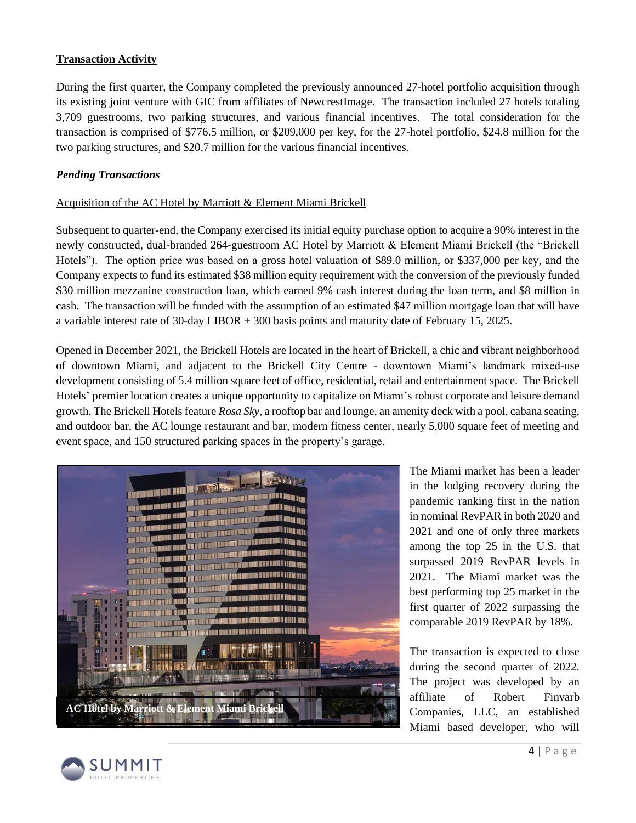## **Transaction Activity**

During the first quarter, the Company completed the previously announced 27-hotel portfolio acquisition through its existing joint venture with GIC from affiliates of NewcrestImage. The transaction included 27 hotels totaling 3,709 guestrooms, two parking structures, and various financial incentives. The total consideration for the transaction is comprised of \$776.5 million, or \$209,000 per key, for the 27-hotel portfolio, \$24.8 million for the two parking structures, and \$20.7 million for the various financial incentives.

### *Pending Transactions*

### Acquisition of the AC Hotel by Marriott & Element Miami Brickell

Subsequent to quarter-end, the Company exercised its initial equity purchase option to acquire a 90% interest in the newly constructed, dual-branded 264-guestroom AC Hotel by Marriott & Element Miami Brickell (the "Brickell Hotels"). The option price was based on a gross hotel valuation of \$89.0 million, or \$337,000 per key, and the Company expects to fund its estimated \$38 million equity requirement with the conversion of the previously funded \$30 million mezzanine construction loan, which earned 9% cash interest during the loan term, and \$8 million in cash. The transaction will be funded with the assumption of an estimated \$47 million mortgage loan that will have a variable interest rate of 30-day LIBOR + 300 basis points and maturity date of February 15, 2025.

Opened in December 2021, the Brickell Hotels are located in the heart of Brickell, a chic and vibrant neighborhood of downtown Miami, and adjacent to the Brickell City Centre - downtown Miami's landmark mixed-use development consisting of 5.4 million square feet of office, residential, retail and entertainment space. The Brickell Hotels' premier location creates a unique opportunity to capitalize on Miami's robust corporate and leisure demand growth. The Brickell Hotels feature *Rosa Sky*, a rooftop bar and lounge, an amenity deck with a pool, cabana seating, and outdoor bar, the AC lounge restaurant and bar, modern fitness center, nearly 5,000 square feet of meeting and event space, and 150 structured parking spaces in the property's garage.



The Miami market has been a leader in the lodging recovery during the pandemic ranking first in the nation in nominal RevPAR in both 2020 and 2021 and one of only three markets among the top 25 in the U.S. that surpassed 2019 RevPAR levels in 2021. The Miami market was the best performing top 25 market in the first quarter of 2022 surpassing the comparable 2019 RevPAR by 18%.

The transaction is expected to close during the second quarter of 2022. The project was developed by an affiliate of Robert Finvarb Companies, LLC, an established Miami based developer, who will

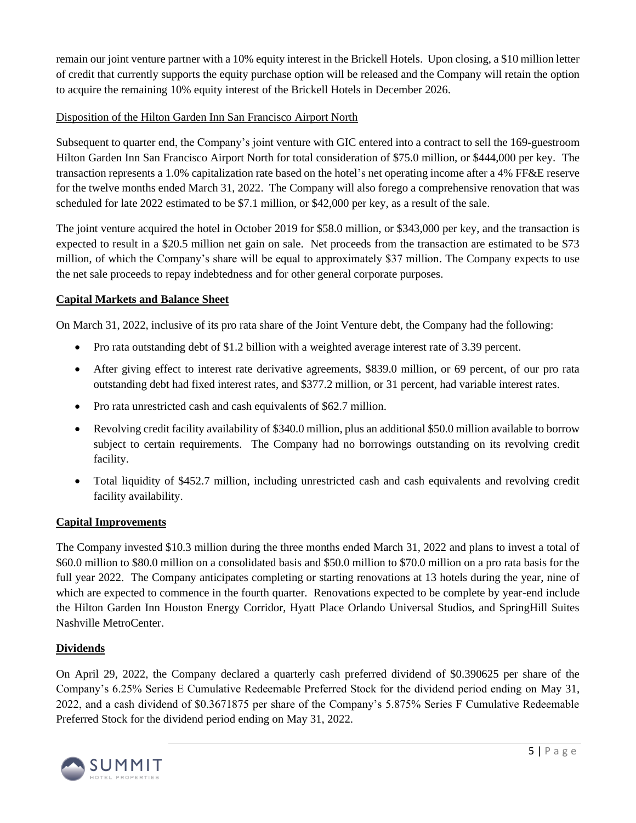remain our joint venture partner with a 10% equity interest in the Brickell Hotels. Upon closing, a \$10 million letter of credit that currently supports the equity purchase option will be released and the Company will retain the option to acquire the remaining 10% equity interest of the Brickell Hotels in December 2026.

# Disposition of the Hilton Garden Inn San Francisco Airport North

Subsequent to quarter end, the Company's joint venture with GIC entered into a contract to sell the 169-guestroom Hilton Garden Inn San Francisco Airport North for total consideration of \$75.0 million, or \$444,000 per key. The transaction represents a 1.0% capitalization rate based on the hotel's net operating income after a 4% FF&E reserve for the twelve months ended March 31, 2022. The Company will also forego a comprehensive renovation that was scheduled for late 2022 estimated to be \$7.1 million, or \$42,000 per key, as a result of the sale.

The joint venture acquired the hotel in October 2019 for \$58.0 million, or \$343,000 per key, and the transaction is expected to result in a \$20.5 million net gain on sale. Net proceeds from the transaction are estimated to be \$73 million, of which the Company's share will be equal to approximately \$37 million. The Company expects to use the net sale proceeds to repay indebtedness and for other general corporate purposes.

## **Capital Markets and Balance Sheet**

On March 31, 2022, inclusive of its pro rata share of the Joint Venture debt, the Company had the following:

- Pro rata outstanding debt of \$1.2 billion with a weighted average interest rate of 3.39 percent.
- After giving effect to interest rate derivative agreements, \$839.0 million, or 69 percent, of our pro rata outstanding debt had fixed interest rates, and \$377.2 million, or 31 percent, had variable interest rates.
- Pro rata unrestricted cash and cash equivalents of \$62.7 million.
- Revolving credit facility availability of \$340.0 million, plus an additional \$50.0 million available to borrow subject to certain requirements. The Company had no borrowings outstanding on its revolving credit facility.
- Total liquidity of \$452.7 million, including unrestricted cash and cash equivalents and revolving credit facility availability.

## **Capital Improvements**

The Company invested \$10.3 million during the three months ended March 31, 2022 and plans to invest a total of \$60.0 million to \$80.0 million on a consolidated basis and \$50.0 million to \$70.0 million on a pro rata basis for the full year 2022. The Company anticipates completing or starting renovations at 13 hotels during the year, nine of which are expected to commence in the fourth quarter. Renovations expected to be complete by year-end include the Hilton Garden Inn Houston Energy Corridor, Hyatt Place Orlando Universal Studios, and SpringHill Suites Nashville MetroCenter.

## **Dividends**

On April 29, 2022, the Company declared a quarterly cash preferred dividend of \$0.390625 per share of the Company's 6.25% Series E Cumulative Redeemable Preferred Stock for the dividend period ending on May 31, 2022, and a cash dividend of \$0.3671875 per share of the Company's 5.875% Series F Cumulative Redeemable Preferred Stock for the dividend period ending on May 31, 2022.

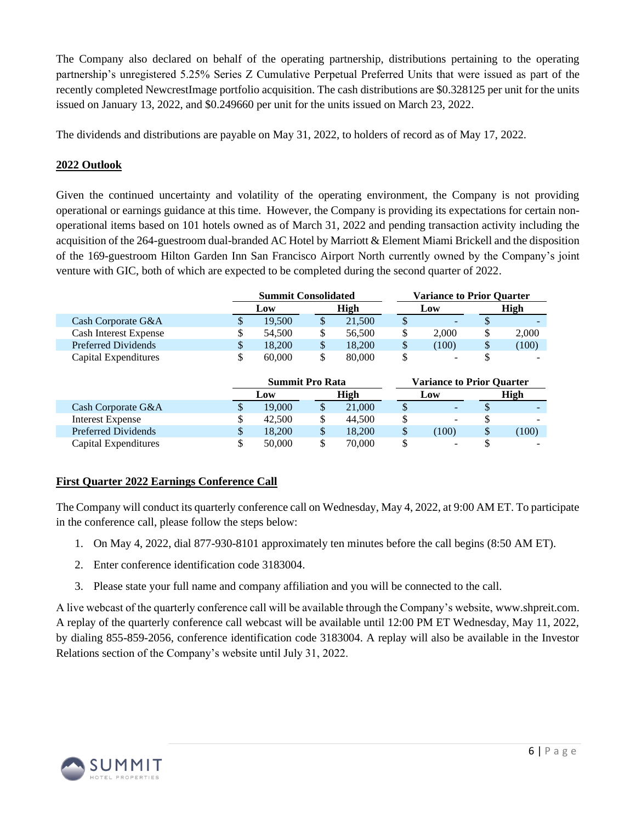The Company also declared on behalf of the operating partnership, distributions pertaining to the operating partnership's unregistered 5.25% Series Z Cumulative Perpetual Preferred Units that were issued as part of the recently completed NewcrestImage portfolio acquisition. The cash distributions are \$0.328125 per unit for the units issued on January 13, 2022, and \$0.249660 per unit for the units issued on March 23, 2022.

The dividends and distributions are payable on May 31, 2022, to holders of record as of May 17, 2022.

# **2022 Outlook**

Given the continued uncertainty and volatility of the operating environment, the Company is not providing operational or earnings guidance at this time. However, the Company is providing its expectations for certain nonoperational items based on 101 hotels owned as of March 31, 2022 and pending transaction activity including the acquisition of the 264-guestroom dual-branded AC Hotel by Marriott & Element Miami Brickell and the disposition of the 169-guestroom Hilton Garden Inn San Francisco Airport North currently owned by the Company's joint venture with GIC, both of which are expected to be completed during the second quarter of 2022.

|                              | <b>Summit Consolidated</b> |    | <b>Variance to Prior Ouarter</b> |       |                          |
|------------------------------|----------------------------|----|----------------------------------|-------|--------------------------|
|                              | Low                        |    | High                             | Low   | High                     |
| Cash Corporate G&A           | 19.500                     | S  | 21,500                           | -     |                          |
| <b>Cash Interest Expense</b> | 54,500                     | \$ | 56,500                           | 2.000 | 2,000                    |
| Preferred Dividends          | 18,200                     | \$ | 18.200                           | (100) | \$<br>(100)              |
| Capital Expenditures         | 60,000                     |    | 80,000                           |       | $\overline{\phantom{0}}$ |

|                      |             | <b>Summit Pro Rata</b> |    |        | <b>Variance to Prior Ouarter</b> |   |                          |  |
|----------------------|-------------|------------------------|----|--------|----------------------------------|---|--------------------------|--|
|                      | High<br>Low |                        |    | Low    | High                             |   |                          |  |
| Cash Corporate G&A   |             | 19,000                 | \$ | 21,000 | $\overline{\phantom{a}}$         |   |                          |  |
| Interest Expense     |             | 42,500                 | \$ | 44.500 | $\overline{\phantom{a}}$         |   | -                        |  |
| Preferred Dividends  | S           | 18.200                 | \$ | 18,200 | (100)                            | S | (100)                    |  |
| Capital Expenditures |             | 50,000                 | \$ | 70,000 | -                                |   | $\overline{\phantom{a}}$ |  |

## **First Quarter 2022 Earnings Conference Call**

The Company will conduct its quarterly conference call on Wednesday, May 4, 2022, at 9:00 AM ET. To participate in the conference call, please follow the steps below:

- 1. On May 4, 2022, dial 877-930-8101 approximately ten minutes before the call begins (8:50 AM ET).
- 2. Enter conference identification code 3183004.
- 3. Please state your full name and company affiliation and you will be connected to the call.

A live webcast of the quarterly conference call will be available through the Company's website, www.shpreit.com. A replay of the quarterly conference call webcast will be available until 12:00 PM ET Wednesday, May 11, 2022, by dialing 855-859-2056, conference identification code 3183004. A replay will also be available in the Investor Relations section of the Company's website until July 31, 2022.

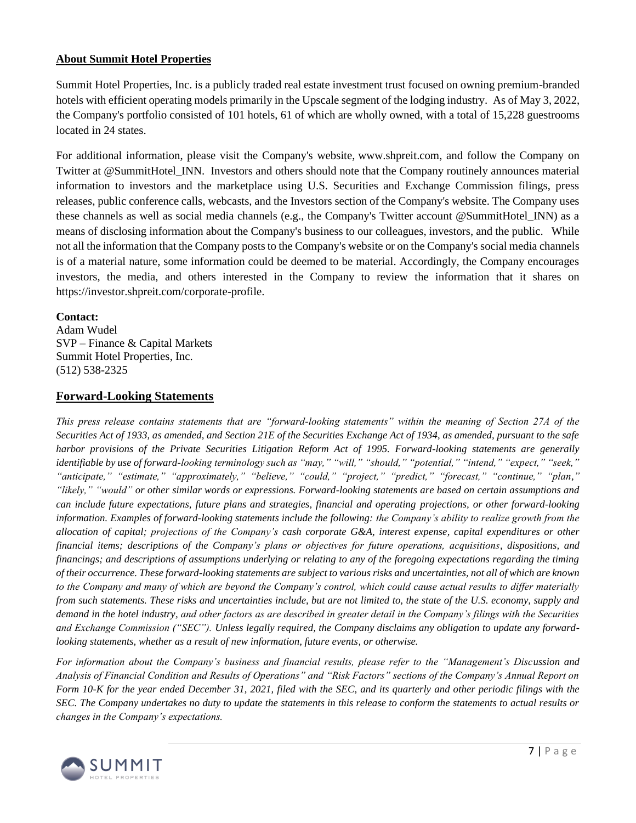### **About Summit Hotel Properties**

Summit Hotel Properties, Inc. is a publicly traded real estate investment trust focused on owning premium-branded hotels with efficient operating models primarily in the Upscale segment of the lodging industry. As of May 3, 2022, the Company's portfolio consisted of 101 hotels, 61 of which are wholly owned, with a total of 15,228 guestrooms located in 24 states.

For additional information, please visit the Company's website, [www.shpreit.com,](https://c212.net/c/link/?t=0&l=en&o=3428622-1&h=2193808238&u=http%3A%2F%2Fwww.shpreit.com%2F&a=www.shpreit.com) and follow the Company on Twitter at @SummitHotel\_INN. Investors and others should note that the Company routinely announces material information to investors and the marketplace using U.S. Securities and Exchange Commission filings, press releases, public conference calls, webcasts, and the Investors section of the Company's website. The Company uses these channels as well as social media channels (e.g., the Company's Twitter account @SummitHotel\_INN) as a means of disclosing information about the Company's business to our colleagues, investors, and the public. While not all the information that the Company posts to the Company's website or on the Company's social media channels is of a material nature, some information could be deemed to be material. Accordingly, the Company encourages investors, the media, and others interested in the Company to review the information that it shares on https://investor.shpreit.com/corporate-profile.

### **Contact:**

Adam Wudel SVP – Finance & Capital Markets Summit Hotel Properties, Inc. (512) 538-2325

### **Forward-Looking Statements**

*This press release contains statements that are "forward-looking statements" within the meaning of Section 27A of the Securities Act of 1933, as amended, and Section 21E of the Securities Exchange Act of 1934, as amended, pursuant to the safe harbor provisions of the Private Securities Litigation Reform Act of 1995. Forward-looking statements are generally identifiable by use of forward-looking terminology such as "may," "will," "should," "potential," "intend," "expect," "seek," "anticipate," "estimate," "approximately," "believe," "could," "project," "predict," "forecast," "continue," "plan," "likely," "would" or other similar words or expressions. Forward-looking statements are based on certain assumptions and can include future expectations, future plans and strategies, financial and operating projections, or other forward-looking information. Examples of forward-looking statements include the following: the Company's ability to realize growth from the allocation of capital; projections of the Company's cash corporate G&A, interest expense, capital expenditures or other financial items; descriptions of the Company's plans or objectives for future operations, acquisitions, dispositions, and financings; and descriptions of assumptions underlying or relating to any of the foregoing expectations regarding the timing of their occurrence. These forward-looking statements are subject to various risks and uncertainties, not all of which are known to the Company and many of which are beyond the Company's control, which could cause actual results to differ materially from such statements. These risks and uncertainties include, but are not limited to, the state of the U.S. economy, supply and demand in the hotel industry, and other factors as are described in greater detail in the Company's filings with the Securities and Exchange Commission ("SEC"). Unless legally required, the Company disclaims any obligation to update any forwardlooking statements, whether as a result of new information, future events, or otherwise.*

*For information about the Company's business and financial results, please refer to the "Management's Discussion and Analysis of Financial Condition and Results of Operations" and "Risk Factors" sections of the Company's Annual Report on Form 10-K for the year ended December 31, 2021, filed with the SEC, and its quarterly and other periodic filings with the SEC. The Company undertakes no duty to update the statements in this release to conform the statements to actual results or changes in the Company's expectations.*

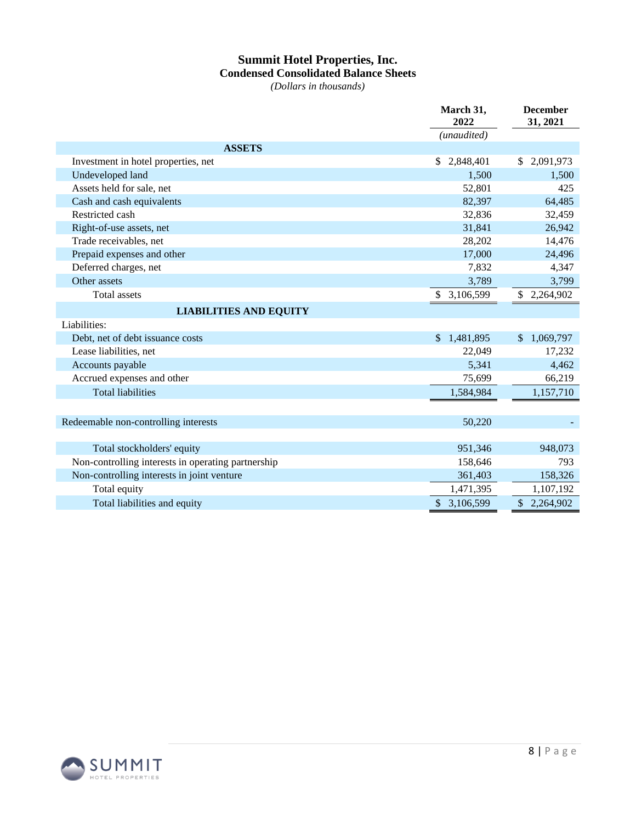# **Summit Hotel Properties, Inc. Condensed Consolidated Balance Sheets**

*(Dollars in thousands)*

|                                                    | March 31,<br>2022 | <b>December</b><br>31, 2021 |
|----------------------------------------------------|-------------------|-----------------------------|
|                                                    | (unaudited)       |                             |
| <b>ASSETS</b>                                      |                   |                             |
| Investment in hotel properties, net                | 2,848,401<br>\$   | \$2,091,973                 |
| Undeveloped land                                   | 1.500             | 1,500                       |
| Assets held for sale, net                          | 52,801            | 425                         |
| Cash and cash equivalents                          | 82,397            | 64,485                      |
| Restricted cash                                    | 32,836            | 32,459                      |
| Right-of-use assets, net                           | 31,841            | 26,942                      |
| Trade receivables, net                             | 28,202            | 14,476                      |
| Prepaid expenses and other                         | 17,000            | 24,496                      |
| Deferred charges, net                              | 7,832             | 4,347                       |
| Other assets                                       | 3,789             | 3,799                       |
| <b>Total</b> assets                                | 3,106,599<br>\$   | \$<br>2,264,902             |
| <b>LIABILITIES AND EQUITY</b>                      |                   |                             |
| Liabilities:                                       |                   |                             |
| Debt, net of debt issuance costs                   | 1,481,895<br>\$   | 1,069,797<br>$\mathbb{S}$   |
| Lease liabilities, net                             | 22,049            | 17,232                      |
| Accounts payable                                   | 5,341             | 4,462                       |
| Accrued expenses and other                         | 75,699            | 66,219                      |
| <b>Total liabilities</b>                           | 1,584,984         | 1,157,710                   |
|                                                    |                   |                             |
| Redeemable non-controlling interests               | 50,220            |                             |
|                                                    |                   |                             |
| Total stockholders' equity                         | 951,346           | 948,073                     |
| Non-controlling interests in operating partnership | 158,646           | 793                         |
| Non-controlling interests in joint venture         | 361,403           | 158,326                     |
| Total equity                                       | 1,471,395         | 1,107,192                   |
| Total liabilities and equity                       | \$3,106,599       | \$2,264,902                 |

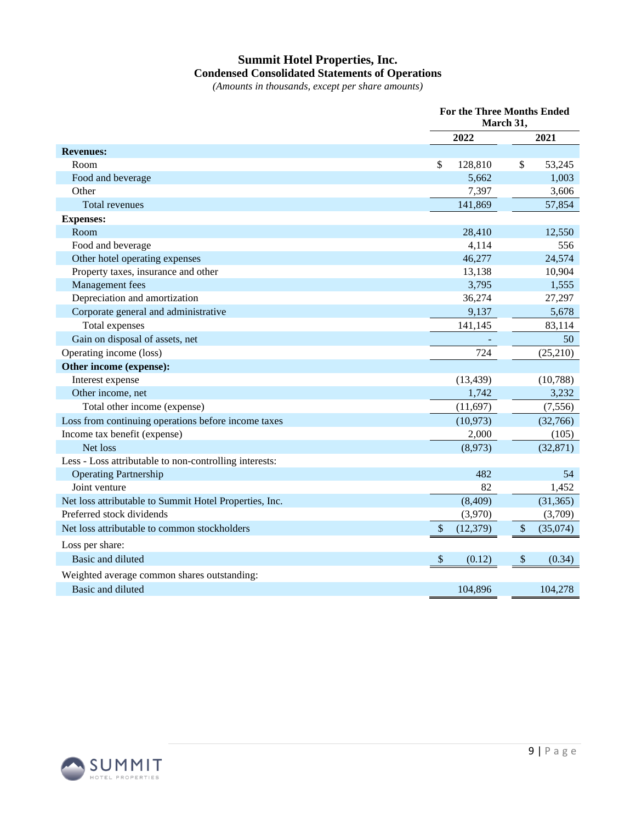# **Summit Hotel Properties, Inc. Condensed Consolidated Statements of Operations**

*(Amounts in thousands, except per share amounts)*

|                                                        | <b>For the Three Months Ended</b><br>March 31, |           |    |           |
|--------------------------------------------------------|------------------------------------------------|-----------|----|-----------|
|                                                        |                                                | 2022      |    | 2021      |
| <b>Revenues:</b>                                       |                                                |           |    |           |
| Room                                                   | \$                                             | 128,810   | \$ | 53,245    |
| Food and beverage                                      |                                                | 5,662     |    | 1,003     |
| Other                                                  |                                                | 7,397     |    | 3,606     |
| <b>Total revenues</b>                                  |                                                | 141,869   |    | 57,854    |
| <b>Expenses:</b>                                       |                                                |           |    |           |
| Room                                                   |                                                | 28,410    |    | 12,550    |
| Food and beverage                                      |                                                | 4,114     |    | 556       |
| Other hotel operating expenses                         |                                                | 46,277    |    | 24,574    |
| Property taxes, insurance and other                    |                                                | 13,138    |    | 10,904    |
| Management fees                                        |                                                | 3,795     |    | 1,555     |
| Depreciation and amortization                          |                                                | 36,274    |    | 27,297    |
| Corporate general and administrative                   |                                                | 9,137     |    | 5,678     |
| Total expenses                                         |                                                | 141,145   |    | 83,114    |
| Gain on disposal of assets, net                        |                                                |           |    | 50        |
| Operating income (loss)                                |                                                | 724       |    | (25,210)  |
| Other income (expense):                                |                                                |           |    |           |
| Interest expense                                       |                                                | (13, 439) |    | (10,788)  |
| Other income, net                                      |                                                | 1,742     |    | 3,232     |
| Total other income (expense)                           |                                                | (11,697)  |    | (7,556)   |
| Loss from continuing operations before income taxes    |                                                | (10, 973) |    | (32,766)  |
| Income tax benefit (expense)                           |                                                | 2,000     |    | (105)     |
| Net loss                                               |                                                | (8,973)   |    | (32, 871) |
| Less - Loss attributable to non-controlling interests: |                                                |           |    |           |
| <b>Operating Partnership</b>                           |                                                | 482       |    | 54        |
| Joint venture                                          |                                                | 82        |    | 1,452     |
| Net loss attributable to Summit Hotel Properties, Inc. |                                                | (8,409)   |    | (31, 365) |
| Preferred stock dividends                              |                                                | (3,970)   |    | (3,709)   |
| Net loss attributable to common stockholders           | $\mathcal{S}$                                  | (12, 379) | \$ | (35,074)  |
| Loss per share:                                        |                                                |           |    |           |
| Basic and diluted                                      | \$                                             | (0.12)    | \$ | (0.34)    |
| Weighted average common shares outstanding:            |                                                |           |    |           |
| Basic and diluted                                      |                                                | 104,896   |    | 104,278   |

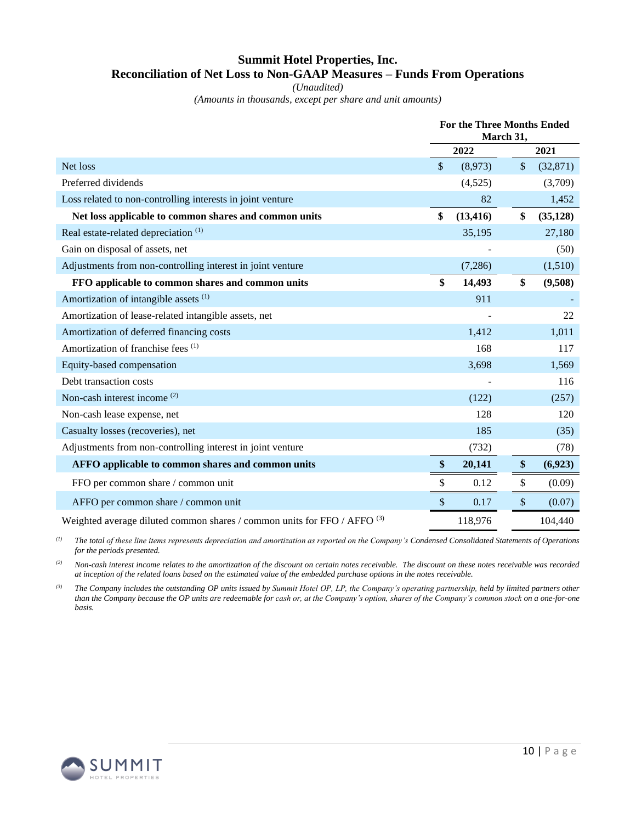# **Summit Hotel Properties, Inc. Reconciliation of Net Loss to Non-GAAP Measures – Funds From Operations**

*(Unaudited)*

*(Amounts in thousands, except per share and unit amounts)*

|                                                                          | <b>For the Three Months Ended</b> | March 31, |      |           |  |
|--------------------------------------------------------------------------|-----------------------------------|-----------|------|-----------|--|
|                                                                          | 2022                              |           | 2021 |           |  |
| Net loss                                                                 | \$<br>(8,973)                     | \$        |      | (32,871)  |  |
| Preferred dividends                                                      | (4,525)                           |           |      | (3,709)   |  |
| Loss related to non-controlling interests in joint venture               | 82                                |           |      | 1,452     |  |
| Net loss applicable to common shares and common units                    | \$<br>(13, 416)                   | \$        |      | (35, 128) |  |
| Real estate-related depreciation <sup>(1)</sup>                          | 35,195                            |           |      | 27,180    |  |
| Gain on disposal of assets, net                                          |                                   |           |      | (50)      |  |
| Adjustments from non-controlling interest in joint venture               | (7,286)                           |           |      | (1,510)   |  |
| FFO applicable to common shares and common units                         | \$<br>14,493                      | \$        |      | (9,508)   |  |
| Amortization of intangible assets (1)                                    | 911                               |           |      |           |  |
| Amortization of lease-related intangible assets, net                     |                                   |           |      | 22        |  |
| Amortization of deferred financing costs                                 | 1,412                             |           |      | 1,011     |  |
| Amortization of franchise fees (1)                                       | 168                               |           |      | 117       |  |
| Equity-based compensation                                                | 3,698                             |           |      | 1,569     |  |
| Debt transaction costs                                                   |                                   |           |      | 116       |  |
| Non-cash interest income <sup>(2)</sup>                                  | (122)                             |           |      | (257)     |  |
| Non-cash lease expense, net                                              | 128                               |           |      | 120       |  |
| Casualty losses (recoveries), net                                        | 185                               |           |      | (35)      |  |
| Adjustments from non-controlling interest in joint venture               | (732)                             |           |      | (78)      |  |
| AFFO applicable to common shares and common units                        | \$<br>20,141                      | \$        |      | (6,923)   |  |
| FFO per common share / common unit                                       | \$<br>0.12                        | \$        |      | (0.09)    |  |
| AFFO per common share / common unit                                      | \$<br>0.17                        | \$        |      | (0.07)    |  |
| Weighted average diluted common shares / common units for FFO / AFFO (3) | 118,976                           |           |      | 104,440   |  |

*(1) The total of these line items represents depreciation and amortization as reported on the Company's Condensed Consolidated Statements of Operations for the periods presented.*

*(2) Non-cash interest income relates to the amortization of the discount on certain notes receivable. The discount on these notes receivable was recorded at inception of the related loans based on the estimated value of the embedded purchase options in the notes receivable.*

*(3) The Company includes the outstanding OP units issued by Summit Hotel OP, LP, the Company's operating partnership, held by limited partners other than the Company because the OP units are redeemable for cash or, at the Company's option, shares of the Company's common stock on a one-for-one basis.*

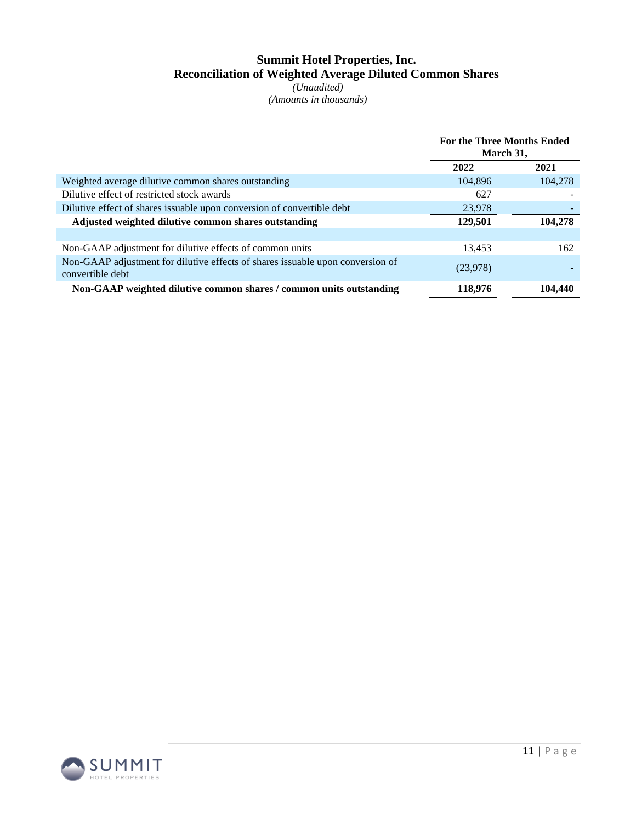# **Summit Hotel Properties, Inc. Reconciliation of Weighted Average Diluted Common Shares**

*(Unaudited) (Amounts in thousands)*

|                                                                                                    | <b>For the Three Months Ended</b><br>March 31, |         |
|----------------------------------------------------------------------------------------------------|------------------------------------------------|---------|
|                                                                                                    | 2022                                           | 2021    |
| Weighted average dilutive common shares outstanding                                                | 104.896                                        | 104,278 |
| Dilutive effect of restricted stock awards                                                         | 627                                            |         |
| Dilutive effect of shares issuable upon conversion of convertible debt                             | 23,978                                         |         |
| Adjusted weighted dilutive common shares outstanding                                               | 129,501                                        | 104,278 |
|                                                                                                    |                                                |         |
| Non-GAAP adjustment for dilutive effects of common units                                           | 13,453                                         | 162     |
| Non-GAAP adjustment for dilutive effects of shares issuable upon conversion of<br>convertible debt | (23,978)                                       |         |
| Non-GAAP weighted dilutive common shares / common units outstanding                                | 118,976                                        | 104,440 |

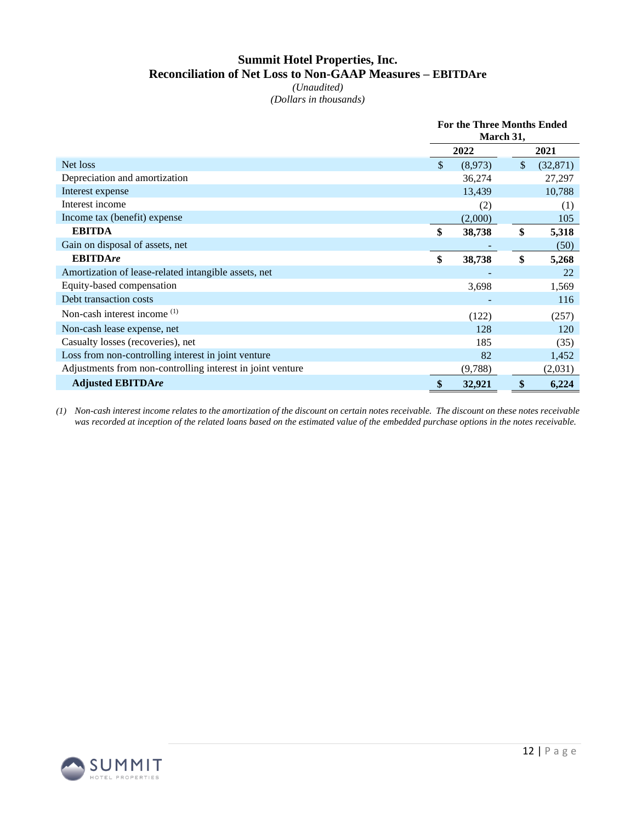# **Summit Hotel Properties, Inc. Reconciliation of Net Loss to Non-GAAP Measures – EBITDAre**

*(Unaudited) (Dollars in thousands)*

|                                                            | <b>For the Three Months Ended</b><br>March 31, |         |         |           |  |
|------------------------------------------------------------|------------------------------------------------|---------|---------|-----------|--|
|                                                            |                                                | 2022    |         | 2021      |  |
| Net loss                                                   | \$.                                            | (8,973) | $\sqrt$ | (32, 871) |  |
| Depreciation and amortization                              |                                                | 36,274  |         | 27,297    |  |
| Interest expense                                           |                                                | 13,439  |         | 10,788    |  |
| Interest income                                            |                                                | (2)     |         | (1)       |  |
| Income tax (benefit) expense                               |                                                | (2,000) |         | 105       |  |
| <b>EBITDA</b>                                              | \$                                             | 38,738  | \$      | 5,318     |  |
| Gain on disposal of assets, net                            |                                                |         |         | (50)      |  |
| <b>EBITDAre</b>                                            | \$                                             | 38,738  | \$      | 5,268     |  |
| Amortization of lease-related intangible assets, net       |                                                |         |         | 22        |  |
| Equity-based compensation                                  |                                                | 3,698   |         | 1,569     |  |
| Debt transaction costs                                     |                                                |         |         | 116       |  |
| Non-cash interest income $(1)$                             |                                                | (122)   |         | (257)     |  |
| Non-cash lease expense, net                                |                                                | 128     |         | 120       |  |
| Casualty losses (recoveries), net                          |                                                | 185     |         | (35)      |  |
| Loss from non-controlling interest in joint venture        |                                                | 82      |         | 1,452     |  |
| Adjustments from non-controlling interest in joint venture |                                                | (9,788) |         | (2,031)   |  |
| <b>Adjusted EBITDAre</b>                                   | \$                                             | 32,921  | \$      | 6,224     |  |

*(1) Non-cash interest income relates to the amortization of the discount on certain notes receivable. The discount on these notes receivable was recorded at inception of the related loans based on the estimated value of the embedded purchase options in the notes receivable.*

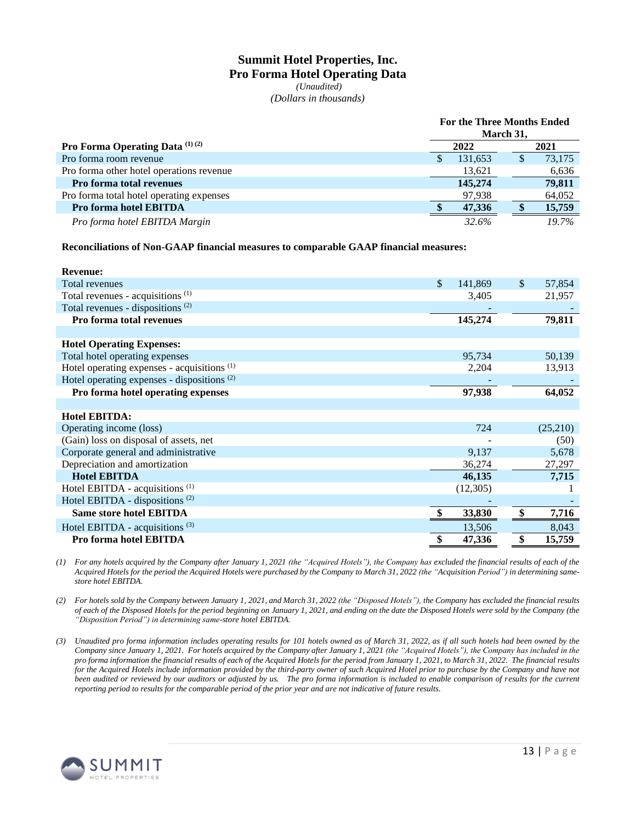### **Summit Hotel Properties, Inc. Pro Forma Hotel Operating Data** *(Unaudited)*

*(Dollars in thousands)*

|                                                   | <b>For the Three Months Ended</b><br>March 31, |         |              |        |  |  |  |  |
|---------------------------------------------------|------------------------------------------------|---------|--------------|--------|--|--|--|--|
| <b>Pro Forma Operating Data</b> $^{(1)}$ $^{(2)}$ | 2022                                           |         |              | 2021   |  |  |  |  |
| Pro forma room revenue                            | S                                              | 131,653 | $\mathbf{r}$ | 73,175 |  |  |  |  |
| Pro forma other hotel operations revenue          |                                                | 13,621  |              | 6,636  |  |  |  |  |
| <b>Pro forma total revenues</b>                   |                                                | 145,274 |              | 79,811 |  |  |  |  |
| Pro forma total hotel operating expenses          |                                                | 97.938  |              | 64,052 |  |  |  |  |
| <b>Pro forma hotel EBITDA</b>                     |                                                | 47.336  |              | 15,759 |  |  |  |  |
| Pro forma hotel EBITDA Margin                     |                                                | 32.6%   |              | 19.7%  |  |  |  |  |

**Reconciliations of Non-GAAP financial measures to comparable GAAP financial measures:**

| <b>Revenue:</b>                                        |               |              |
|--------------------------------------------------------|---------------|--------------|
| <b>Total revenues</b>                                  | \$<br>141,869 | \$<br>57,854 |
| Total revenues - acquisitions <sup>(1)</sup>           | 3,405         | 21,957       |
| Total revenues - dispositions <sup>(2)</sup>           |               |              |
| Pro forma total revenues                               | 145,274       | 79,811       |
|                                                        |               |              |
| <b>Hotel Operating Expenses:</b>                       |               |              |
| Total hotel operating expenses                         | 95,734        | 50,139       |
| Hotel operating expenses - acquisitions $(1)$          | 2,204         | 13,913       |
| Hotel operating expenses - dispositions <sup>(2)</sup> |               |              |
| Pro forma hotel operating expenses                     | 97,938        | 64,052       |
|                                                        |               |              |
| <b>Hotel EBITDA:</b>                                   |               |              |
| Operating income (loss)                                | 724           | (25,210)     |
| (Gain) loss on disposal of assets, net                 |               | (50)         |
| Corporate general and administrative                   | 9,137         | 5,678        |
| Depreciation and amortization                          | 36,274        | 27,297       |
| <b>Hotel EBITDA</b>                                    | 46,135        | 7,715        |
| Hotel EBITDA - acquisitions $(1)$                      | (12,305)      |              |
| Hotel EBITDA - dispositions <sup>(2)</sup>             |               |              |
| <b>Same store hotel EBITDA</b>                         | 33,830        | 7,716        |
| Hotel EBITDA - acquisitions <sup>(3)</sup>             | 13,506        | 8,043        |
| Pro forma hotel EBITDA                                 | 47,336        | \$<br>15,759 |

*(1) For any hotels acquired by the Company after January 1, 2021 (the "Acquired Hotels"), the Company has excluded the financial results of each of the Acquired Hotels for the period the Acquired Hotels were purchased by the Company to March 31, 2022 (the "Acquisition Period") in determining samestore hotel EBITDA.* 

*(2) For hotels sold by the Company between January 1, 2021, and March 31, 2022 (the "Disposed Hotels"), the Company has excluded the financial results of each of the Disposed Hotels for the period beginning on January 1, 2021, and ending on the date the Disposed Hotels were sold by the Company (the "Disposition Period") in determining same-store hotel EBITDA.*

*(3) Unaudited pro forma information includes operating results for 101 hotels owned as of March 31, 2022, as if all such hotels had been owned by the Company since January 1, 2021. For hotels acquired by the Company after January 1, 2021 (the "Acquired Hotels"), the Company has included in the pro forma information the financial results of each of the Acquired Hotels for the period from January 1, 2021, to March 31, 2022. The financial results*  for the Acquired Hotels include information provided by the third-party owner of such Acquired Hotel prior to purchase by the Company and have not *been audited or reviewed by our auditors or adjusted by us. The pro forma information is included to enable comparison of results for the current reporting period to results for the comparable period of the prior year and are not indicative of future results.*

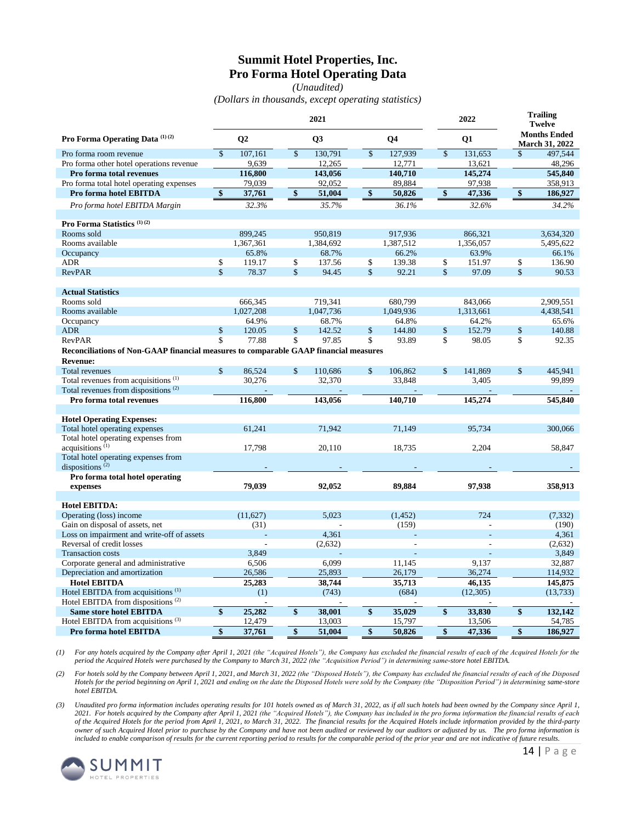# **Summit Hotel Properties, Inc. Pro Forma Hotel Operating Data**

*(Unaudited) (Dollars in thousands, except operating statistics)*

|                                                                                      |                         |                |                    | 2021      |                    |                   | 2022               |                |              | <b>Trailing</b><br><b>Twelve</b>             |
|--------------------------------------------------------------------------------------|-------------------------|----------------|--------------------|-----------|--------------------|-------------------|--------------------|----------------|--------------|----------------------------------------------|
| Pro Forma Operating Data (1)(2)                                                      |                         | Q <sub>2</sub> |                    | Q3        |                    | Q <sub>4</sub>    |                    | Q1             |              | <b>Months Ended</b><br><b>March 31, 2022</b> |
| Pro forma room revenue                                                               | $\mathbf{\hat{S}}$      | 107,161        | $\mathbf{\hat{S}}$ | 130.791   | $\mathbf{\hat{S}}$ | 127,939           | $\mathbf{\hat{S}}$ | 131.653        | $\mathbb{S}$ | 497.544                                      |
| Pro forma other hotel operations revenue                                             |                         | 9,639          |                    | 12,265    |                    | 12,771            |                    | 13,621         |              | 48,296                                       |
| Pro forma total revenues                                                             |                         | 116,800        |                    | 143,056   |                    | 140,710           |                    | 145,274        |              | 545,840                                      |
| Pro forma total hotel operating expenses                                             |                         | 79,039         |                    | 92,052    |                    | 89,884            |                    | 97,938         |              | 358,913                                      |
| <b>Pro forma hotel EBITDA</b>                                                        | \$                      | 37,761         | \$                 | 51,004    | \$                 | 50,826            | \$                 | 47,336         | \$           | 186,927                                      |
| Pro forma hotel EBITDA Margin                                                        |                         | 32.3%          |                    | 35.7%     |                    | 36.1%             |                    | 32.6%          |              | 34.2%                                        |
| Pro Forma Statistics <sup>(1)(2)</sup>                                               |                         |                |                    |           |                    |                   |                    |                |              |                                              |
| Rooms sold                                                                           |                         | 899,245        |                    | 950,819   |                    | 917,936           |                    | 866,321        |              | 3,634,320                                    |
| Rooms available                                                                      |                         | 1,367,361      |                    | 1,384,692 |                    | 1,387,512         |                    | 1,356,057      |              | 5,495,622                                    |
| Occupancy                                                                            |                         | 65.8%          |                    | 68.7%     |                    | 66.2%             |                    | 63.9%          |              | 66.1%                                        |
| <b>ADR</b>                                                                           | \$                      | 119.17         | \$                 | 137.56    | \$                 | 139.38            | \$                 | 151.97         | \$           | 136.90                                       |
| <b>RevPAR</b>                                                                        | $\overline{\mathbf{S}}$ | 78.37          | \$                 | 94.45     | \$                 | 92.21             | $\mathbf{\hat{S}}$ | 97.09          | \$           | 90.53                                        |
| <b>Actual Statistics</b>                                                             |                         |                |                    |           |                    |                   |                    |                |              |                                              |
| Rooms sold                                                                           |                         | 666,345        |                    | 719,341   |                    | 680,799           |                    | 843,066        |              | 2,909,551                                    |
| Rooms available                                                                      |                         | 1,027,208      |                    | 1,047,736 |                    | 1,049,936         |                    | 1,313,661      |              | 4,438,541                                    |
| Occupancy                                                                            |                         | 64.9%          |                    | 68.7%     |                    | 64.8%             |                    | 64.2%          |              | 65.6%                                        |
| <b>ADR</b>                                                                           | \$                      | 120.05         | \$                 | 142.52    | \$                 | 144.80            | \$                 | 152.79         | \$           | 140.88                                       |
| RevPAR                                                                               | \$                      | 77.88          | \$                 | 97.85     | \$                 | 93.89             | \$                 | 98.05          | \$           | 92.35                                        |
| Reconciliations of Non-GAAP financial measures to comparable GAAP financial measures |                         |                |                    |           |                    |                   |                    |                |              |                                              |
| <b>Revenue:</b>                                                                      |                         |                |                    |           |                    |                   |                    |                |              |                                              |
| <b>Total revenues</b>                                                                | $\mathbf{\hat{S}}$      | 86,524         | $\mathbf{\hat{s}}$ | 110,686   | $\mathbf{\$}$      | 106.862           | $\mathbf{\hat{S}}$ | 141,869        | \$           | 445.941                                      |
| Total revenues from acquisitions <sup>(1)</sup>                                      |                         | 30,276         |                    | 32,370    |                    | 33,848            |                    | 3,405          |              | 99,899                                       |
| Total revenues from dispositions <sup>(2)</sup>                                      |                         |                |                    |           |                    |                   |                    |                |              |                                              |
| Pro forma total revenues                                                             |                         | 116,800        |                    | 143,056   |                    | 140,710           |                    | 145,274        |              | 545,840                                      |
|                                                                                      |                         |                |                    |           |                    |                   |                    |                |              |                                              |
| <b>Hotel Operating Expenses:</b>                                                     |                         |                |                    |           |                    |                   |                    |                |              |                                              |
| Total hotel operating expenses                                                       |                         | 61,241         |                    | 71,942    |                    | 71.149            |                    | 95.734         |              | 300,066                                      |
| Total hotel operating expenses from                                                  |                         |                |                    |           |                    |                   |                    |                |              |                                              |
| acquisitions $(1)$                                                                   |                         | 17,798         |                    | 20,110    |                    | 18,735            |                    | 2,204          |              | 58,847                                       |
| Total hotel operating expenses from                                                  |                         |                |                    |           |                    |                   |                    |                |              |                                              |
| dispositions <sup>(2)</sup>                                                          |                         |                |                    |           |                    |                   |                    |                |              |                                              |
| Pro forma total hotel operating                                                      |                         |                |                    |           |                    |                   |                    |                |              |                                              |
| expenses                                                                             |                         | 79,039         |                    | 92,052    |                    | 89,884            |                    | 97,938         |              | 358,913                                      |
|                                                                                      |                         |                |                    |           |                    |                   |                    |                |              |                                              |
| <b>Hotel EBITDA:</b>                                                                 |                         |                |                    | 5,023     |                    |                   |                    | 724            |              |                                              |
| Operating (loss) income<br>Gain on disposal of assets, net                           |                         | (11,627)       |                    |           |                    | (1, 452)<br>(159) |                    | $\overline{a}$ |              | (7, 332)<br>(190)                            |
| Loss on impairment and write-off of assets                                           |                         | (31)           |                    |           |                    |                   |                    |                |              |                                              |
|                                                                                      |                         |                |                    | 4,361     |                    |                   |                    |                |              | 4,361                                        |
| Reversal of credit losses<br><b>Transaction costs</b>                                |                         | 3.849          |                    | (2,632)   |                    |                   |                    |                |              | (2,632)                                      |
|                                                                                      |                         |                |                    |           |                    |                   |                    |                |              | 3,849                                        |
| Corporate general and administrative                                                 |                         | 6,506          |                    | 6,099     |                    | 11,145            |                    | 9,137          |              | 32,887                                       |
| Depreciation and amortization                                                        |                         | 26,586         |                    | 25,893    |                    | 26,179            |                    | 36,274         |              | 114,932                                      |
| <b>Hotel EBITDA</b>                                                                  |                         | 25,283         |                    | 38,744    |                    | 35,713            |                    | 46,135         |              | 145,875                                      |
| Hotel EBITDA from acquisitions <sup>(1)</sup>                                        |                         | (1)            |                    | (743)     |                    | (684)             |                    | (12,305)       |              | (13,733)                                     |
| Hotel EBITDA from dispositions <sup>(2)</sup>                                        |                         |                |                    |           |                    |                   |                    |                |              |                                              |
| <b>Same store hotel EBITDA</b>                                                       | \$                      | 25,282         | \$                 | 38,001    | \$                 | 35,029            | \$                 | 33,830         | \$           | 132,142                                      |
| Hotel EBITDA from acquisitions <sup>(3)</sup>                                        |                         | 12,479         |                    | 13,003    |                    | 15,797            |                    | 13,506         |              | 54,785                                       |
| Pro forma hotel EBITDA                                                               | \$                      | 37,761         | \$                 | 51,004    | \$                 | 50,826            | \$                 | 47,336         | \$           | 186,927                                      |

*(1) For any hotels acquired by the Company after April 1, 2021 (the "Acquired Hotels"), the Company has excluded the financial results of each of the Acquired Hotels for the period the Acquired Hotels were purchased by the Company to March 31, 2022 (the "Acquisition Period") in determining same-store hotel EBITDA.* 

*(2) For hotels sold by the Company between April 1, 2021, and March 31, 2022 (the "Disposed Hotels"), the Company has excluded the financial results of each of the Disposed Hotels for the period beginning on April 1, 2021 and ending on the date the Disposed Hotels were sold by the Company (the "Disposition Period") in determining same-store hotel EBITDA.*

*(3) Unaudited pro forma information includes operating results for 101 hotels owned as of March 31, 2022, as if all such hotels had been owned by the Company since April 1, 2021. For hotels acquired by the Company after April 1, 2021 (the "Acquired Hotels"), the Company has included in the pro forma information the financial results of each of the Acquired Hotels for the period from April 1, 2021, to March 31, 2022. The financial results for the Acquired Hotels include information provided by the third-party owner of such Acquired Hotel prior to purchase by the Company and have not been audited or reviewed by our auditors or adjusted by us. The pro forma information is included to enable comparison of results for the current reporting period to results for the comparable period of the prior year and are not indicative of future results.*

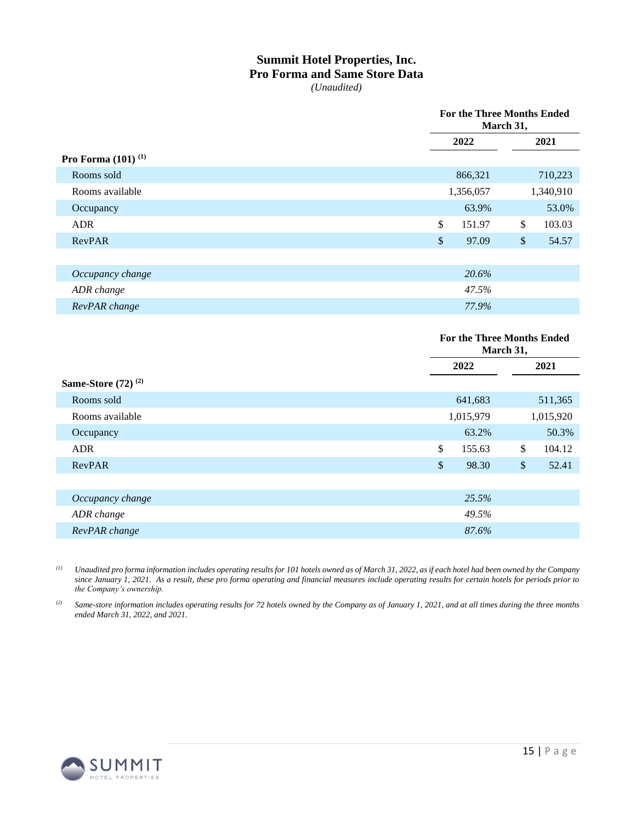# **Summit Hotel Properties, Inc. Pro Forma and Same Store Data**

*(Unaudited)*

|                                |            | <b>For the Three Months Ended</b><br>March 31, |                         |           |
|--------------------------------|------------|------------------------------------------------|-------------------------|-----------|
|                                |            | 2022                                           |                         | 2021      |
| Pro Forma $(101)^{(1)}$        |            |                                                |                         |           |
| Rooms sold                     |            | 866,321                                        |                         | 710,223   |
| Rooms available                |            | 1,356,057                                      |                         | 1,340,910 |
| Occupancy                      |            | 63.9%                                          |                         | 53.0%     |
| <b>ADR</b>                     | \$         | 151.97                                         | $\sqrt[6]{\frac{1}{2}}$ | 103.03    |
| RevPAR                         | $\sqrt{3}$ | 97.09                                          | $\$\$                   | 54.57     |
|                                |            |                                                |                         |           |
| Occupancy change               |            | 20.6%                                          |                         |           |
| ADR change                     |            | 47.5%                                          |                         |           |
| RevPAR change                  |            | 77.9%                                          |                         |           |
|                                |            |                                                |                         |           |
|                                |            | <b>For the Three Months Ended</b><br>March 31, |                         |           |
|                                |            | 2022                                           |                         | 2021      |
| <b>Same-Store</b> $(72)^{(2)}$ |            |                                                |                         |           |

| Rooms sold       |               | 641,683   | 511,365      |
|------------------|---------------|-----------|--------------|
| Rooms available  |               | 1,015,979 | 1,015,920    |
| Occupancy        |               | 63.2%     | 50.3%        |
| <b>ADR</b>       | $\mathcal{S}$ | 155.63    | \$<br>104.12 |
| RevPAR           | <sup>\$</sup> | 98.30     | \$<br>52.41  |
|                  |               |           |              |
| Occupancy change |               | 25.5%     |              |
| ADR change       |               | 49.5%     |              |
| RevPAR change    |               | 87.6%     |              |
|                  |               |           |              |

*(1) Unaudited pro forma information includes operating results for 101 hotels owned as of March 31, 2022, as if each hotel had been owned by the Company since January 1, 2021. As a result, these pro forma operating and financial measures include operating results for certain hotels for periods prior to the Company's ownership.*

*(2) Same-store information includes operating results for 72 hotels owned by the Company as of January 1, 2021, and at all times during the three months ended March 31, 2022, and 2021.*

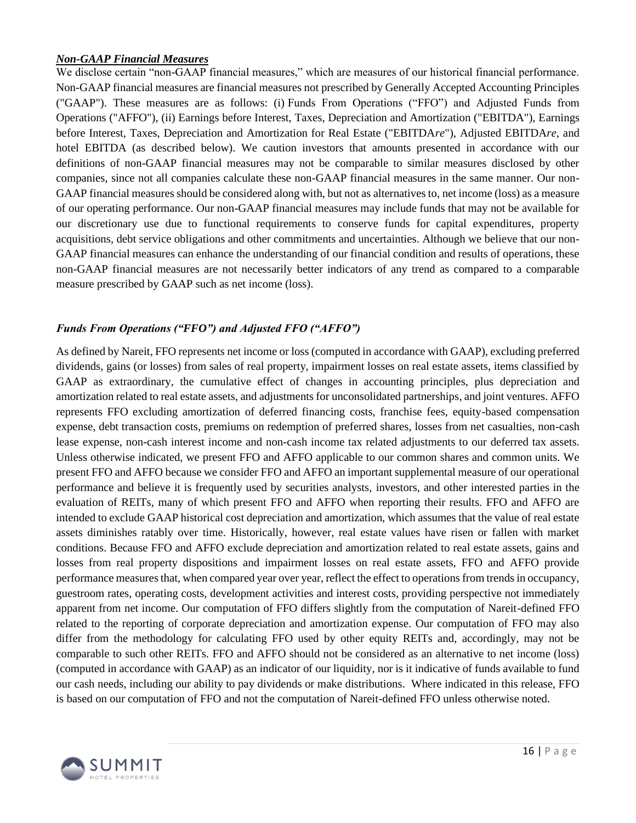### *Non-GAAP Financial Measures*

We disclose certain "non-GAAP financial measures," which are measures of our historical financial performance. Non-GAAP financial measures are financial measures not prescribed by Generally Accepted Accounting Principles ("GAAP"). These measures are as follows: (i) Funds From Operations ("FFO") and Adjusted Funds from Operations ("AFFO"), (ii) Earnings before Interest, Taxes, Depreciation and Amortization ("EBITDA"), Earnings before Interest, Taxes, Depreciation and Amortization for Real Estate ("EBITDA*re*"), Adjusted EBITDA*re*, and hotel EBITDA (as described below). We caution investors that amounts presented in accordance with our definitions of non-GAAP financial measures may not be comparable to similar measures disclosed by other companies, since not all companies calculate these non-GAAP financial measures in the same manner. Our non-GAAP financial measures should be considered along with, but not as alternatives to, net income (loss) as a measure of our operating performance. Our non-GAAP financial measures may include funds that may not be available for our discretionary use due to functional requirements to conserve funds for capital expenditures, property acquisitions, debt service obligations and other commitments and uncertainties. Although we believe that our non-GAAP financial measures can enhance the understanding of our financial condition and results of operations, these non-GAAP financial measures are not necessarily better indicators of any trend as compared to a comparable measure prescribed by GAAP such as net income (loss).

# *Funds From Operations ("FFO") and Adjusted FFO ("AFFO")*

As defined by Nareit, FFO represents net income or loss (computed in accordance with GAAP), excluding preferred dividends, gains (or losses) from sales of real property, impairment losses on real estate assets, items classified by GAAP as extraordinary, the cumulative effect of changes in accounting principles, plus depreciation and amortization related to real estate assets, and adjustments for unconsolidated partnerships, and joint ventures. AFFO represents FFO excluding amortization of deferred financing costs, franchise fees, equity-based compensation expense, debt transaction costs, premiums on redemption of preferred shares, losses from net casualties, non-cash lease expense, non-cash interest income and non-cash income tax related adjustments to our deferred tax assets. Unless otherwise indicated, we present FFO and AFFO applicable to our common shares and common units. We present FFO and AFFO because we consider FFO and AFFO an important supplemental measure of our operational performance and believe it is frequently used by securities analysts, investors, and other interested parties in the evaluation of REITs, many of which present FFO and AFFO when reporting their results. FFO and AFFO are intended to exclude GAAP historical cost depreciation and amortization, which assumes that the value of real estate assets diminishes ratably over time. Historically, however, real estate values have risen or fallen with market conditions. Because FFO and AFFO exclude depreciation and amortization related to real estate assets, gains and losses from real property dispositions and impairment losses on real estate assets, FFO and AFFO provide performance measures that, when compared year over year, reflect the effect to operations from trends in occupancy, guestroom rates, operating costs, development activities and interest costs, providing perspective not immediately apparent from net income. Our computation of FFO differs slightly from the computation of Nareit-defined FFO related to the reporting of corporate depreciation and amortization expense. Our computation of FFO may also differ from the methodology for calculating FFO used by other equity REITs and, accordingly, may not be comparable to such other REITs. FFO and AFFO should not be considered as an alternative to net income (loss) (computed in accordance with GAAP) as an indicator of our liquidity, nor is it indicative of funds available to fund our cash needs, including our ability to pay dividends or make distributions. Where indicated in this release, FFO is based on our computation of FFO and not the computation of Nareit-defined FFO unless otherwise noted.

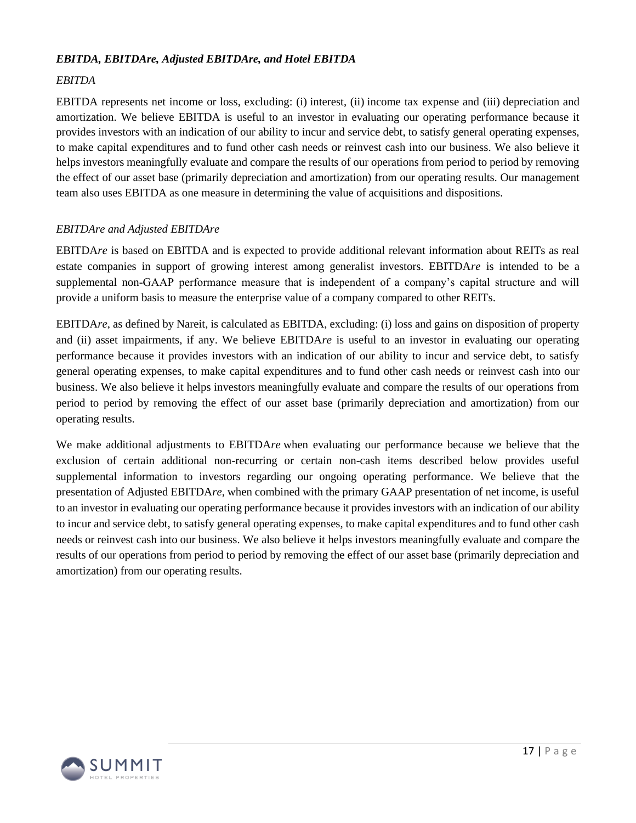## *EBITDA, EBITDAre, Adjusted EBITDAre, and Hotel EBITDA*

## *EBITDA*

EBITDA represents net income or loss, excluding: (i) interest, (ii) income tax expense and (iii) depreciation and amortization. We believe EBITDA is useful to an investor in evaluating our operating performance because it provides investors with an indication of our ability to incur and service debt, to satisfy general operating expenses, to make capital expenditures and to fund other cash needs or reinvest cash into our business. We also believe it helps investors meaningfully evaluate and compare the results of our operations from period to period by removing the effect of our asset base (primarily depreciation and amortization) from our operating results. Our management team also uses EBITDA as one measure in determining the value of acquisitions and dispositions.

## *EBITDAre and Adjusted EBITDAre*

EBITDA*re* is based on EBITDA and is expected to provide additional relevant information about REITs as real estate companies in support of growing interest among generalist investors. EBITDA*re* is intended to be a supplemental non-GAAP performance measure that is independent of a company's capital structure and will provide a uniform basis to measure the enterprise value of a company compared to other REITs.

EBITDA*re*, as defined by Nareit, is calculated as EBITDA, excluding: (i) loss and gains on disposition of property and (ii) asset impairments, if any. We believe EBITDA*re* is useful to an investor in evaluating our operating performance because it provides investors with an indication of our ability to incur and service debt, to satisfy general operating expenses, to make capital expenditures and to fund other cash needs or reinvest cash into our business. We also believe it helps investors meaningfully evaluate and compare the results of our operations from period to period by removing the effect of our asset base (primarily depreciation and amortization) from our operating results.

We make additional adjustments to EBITDA*re* when evaluating our performance because we believe that the exclusion of certain additional non-recurring or certain non-cash items described below provides useful supplemental information to investors regarding our ongoing operating performance. We believe that the presentation of Adjusted EBITDA*re*, when combined with the primary GAAP presentation of net income, is useful to an investor in evaluating our operating performance because it provides investors with an indication of our ability to incur and service debt, to satisfy general operating expenses, to make capital expenditures and to fund other cash needs or reinvest cash into our business. We also believe it helps investors meaningfully evaluate and compare the results of our operations from period to period by removing the effect of our asset base (primarily depreciation and amortization) from our operating results.